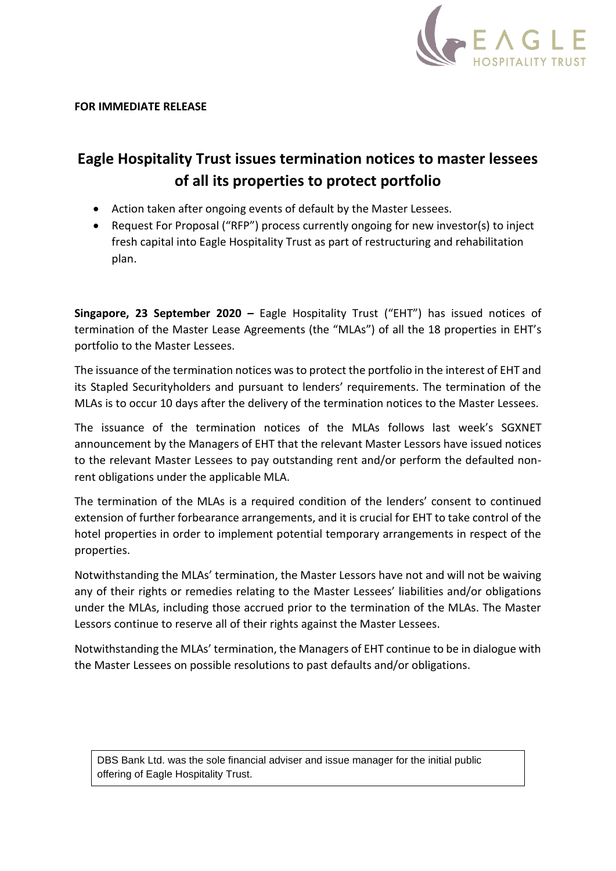

# **Eagle Hospitality Trust issues termination notices to master lessees of all its properties to protect portfolio**

- Action taken after ongoing events of default by the Master Lessees.
- Request For Proposal ("RFP") process currently ongoing for new investor(s) to inject fresh capital into Eagle Hospitality Trust as part of restructuring and rehabilitation plan.

**Singapore, 23 September 2020 –** Eagle Hospitality Trust ("EHT") has issued notices of termination of the Master Lease Agreements (the "MLAs") of all the 18 properties in EHT's portfolio to the Master Lessees.

The issuance of the termination notices was to protect the portfolio in the interest of EHT and its Stapled Securityholders and pursuant to lenders' requirements. The termination of the MLAs is to occur 10 days after the delivery of the termination notices to the Master Lessees.

The issuance of the termination notices of the MLAs follows last week's SGXNET announcement by the Managers of EHT that the relevant Master Lessors have issued notices to the relevant Master Lessees to pay outstanding rent and/or perform the defaulted nonrent obligations under the applicable MLA.

The termination of the MLAs is a required condition of the lenders' consent to continued extension of further forbearance arrangements, and it is crucial for EHT to take control of the hotel properties in order to implement potential temporary arrangements in respect of the properties.

Notwithstanding the MLAs' termination, the Master Lessors have not and will not be waiving any of their rights or remedies relating to the Master Lessees' liabilities and/or obligations under the MLAs, including those accrued prior to the termination of the MLAs. The Master Lessors continue to reserve all of their rights against the Master Lessees.

Notwithstanding the MLAs' termination, the Managers of EHT continue to be in dialogue with the Master Lessees on possible resolutions to past defaults and/or obligations.

DBS Bank Ltd. was the sole financial adviser and issue manager for the initial public offering of Eagle Hospitality Trust.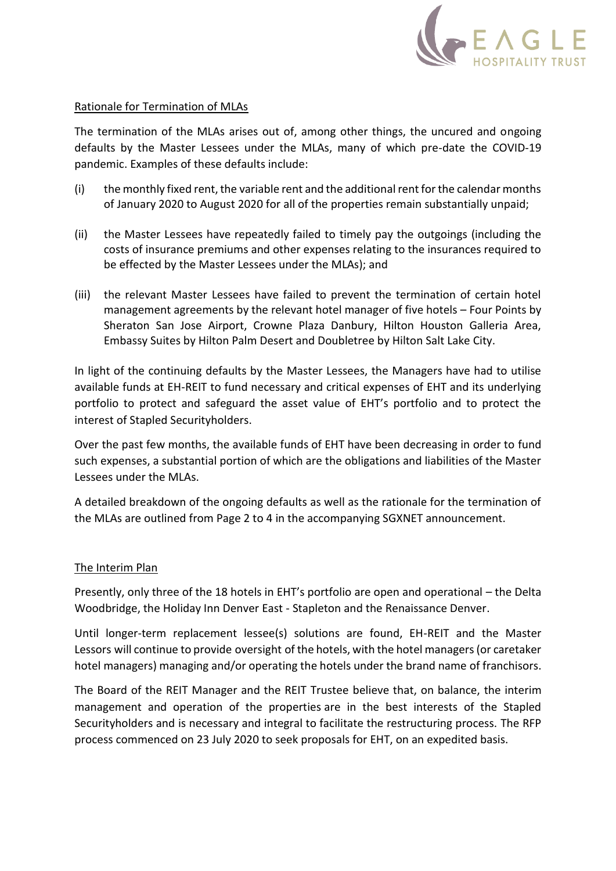

#### Rationale for Termination of MLAs

The termination of the MLAs arises out of, among other things, the uncured and ongoing defaults by the Master Lessees under the MLAs, many of which pre-date the COVID-19 pandemic. Examples of these defaults include:

- (i) the monthly fixed rent, the variable rent and the additional rent for the calendar months of January 2020 to August 2020 for all of the properties remain substantially unpaid;
- (ii) the Master Lessees have repeatedly failed to timely pay the outgoings (including the costs of insurance premiums and other expenses relating to the insurances required to be effected by the Master Lessees under the MLAs); and
- (iii) the relevant Master Lessees have failed to prevent the termination of certain hotel management agreements by the relevant hotel manager of five hotels – Four Points by Sheraton San Jose Airport, Crowne Plaza Danbury, Hilton Houston Galleria Area, Embassy Suites by Hilton Palm Desert and Doubletree by Hilton Salt Lake City.

In light of the continuing defaults by the Master Lessees, the Managers have had to utilise available funds at EH-REIT to fund necessary and critical expenses of EHT and its underlying portfolio to protect and safeguard the asset value of EHT's portfolio and to protect the interest of Stapled Securityholders.

Over the past few months, the available funds of EHT have been decreasing in order to fund such expenses, a substantial portion of which are the obligations and liabilities of the Master Lessees under the MLAs.

A detailed breakdown of the ongoing defaults as well as the rationale for the termination of the MLAs are outlined from Page 2 to 4 in the accompanying SGXNET announcement.

### The Interim Plan

Presently, only three of the 18 hotels in EHT's portfolio are open and operational – the Delta Woodbridge, the Holiday Inn Denver East - Stapleton and the Renaissance Denver.

Until longer-term replacement lessee(s) solutions are found, EH-REIT and the Master Lessors will continue to provide oversight of the hotels, with the hotel managers (or caretaker hotel managers) managing and/or operating the hotels under the brand name of franchisors.

The Board of the REIT Manager and the REIT Trustee believe that, on balance, the interim management and operation of the properties are in the best interests of the Stapled Securityholders and is necessary and integral to facilitate the restructuring process. The RFP process commenced on 23 July 2020 to seek proposals for EHT, on an expedited basis.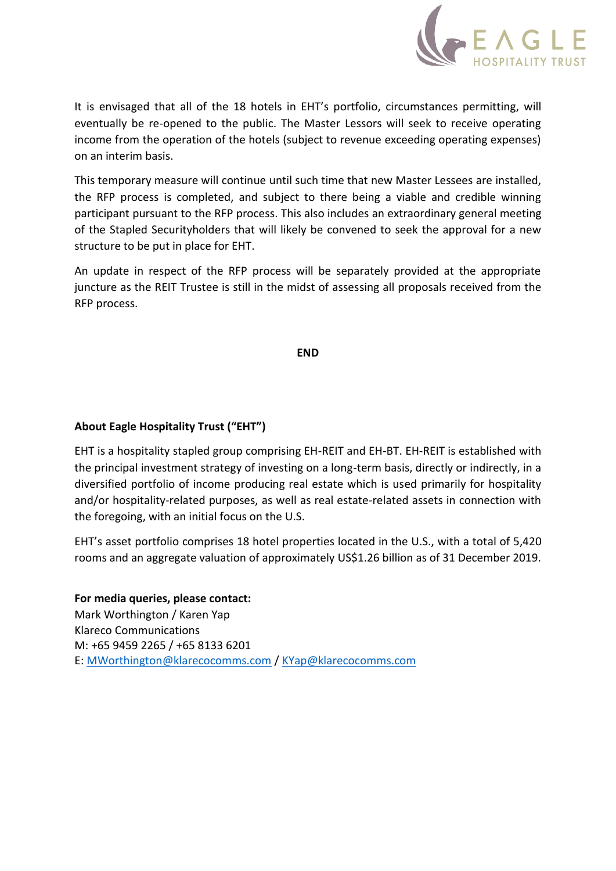

It is envisaged that all of the 18 hotels in EHT's portfolio, circumstances permitting, will eventually be re-opened to the public. The Master Lessors will seek to receive operating income from the operation of the hotels (subject to revenue exceeding operating expenses) on an interim basis.

This temporary measure will continue until such time that new Master Lessees are installed, the RFP process is completed, and subject to there being a viable and credible winning participant pursuant to the RFP process. This also includes an extraordinary general meeting of the Stapled Securityholders that will likely be convened to seek the approval for a new structure to be put in place for EHT.

An update in respect of the RFP process will be separately provided at the appropriate juncture as the REIT Trustee is still in the midst of assessing all proposals received from the RFP process.

**END**

## **About Eagle Hospitality Trust ("EHT")**

EHT is a hospitality stapled group comprising EH-REIT and EH-BT. EH-REIT is established with the principal investment strategy of investing on a long-term basis, directly or indirectly, in a diversified portfolio of income producing real estate which is used primarily for hospitality and/or hospitality-related purposes, as well as real estate-related assets in connection with the foregoing, with an initial focus on the U.S.

EHT's asset portfolio comprises 18 hotel properties located in the U.S., with a total of 5,420 rooms and an aggregate valuation of approximately US\$1.26 billion as of 31 December 2019.

**For media queries, please contact:**  Mark Worthington / Karen Yap Klareco Communications M: +65 9459 2265 / +65 8133 6201 E: [MWorthington@klarecocomms.com](mailto:MWorthington@klarecocomms.com) / [KYap@klarecocomms.com](mailto:KYap@klarecocomms.com)